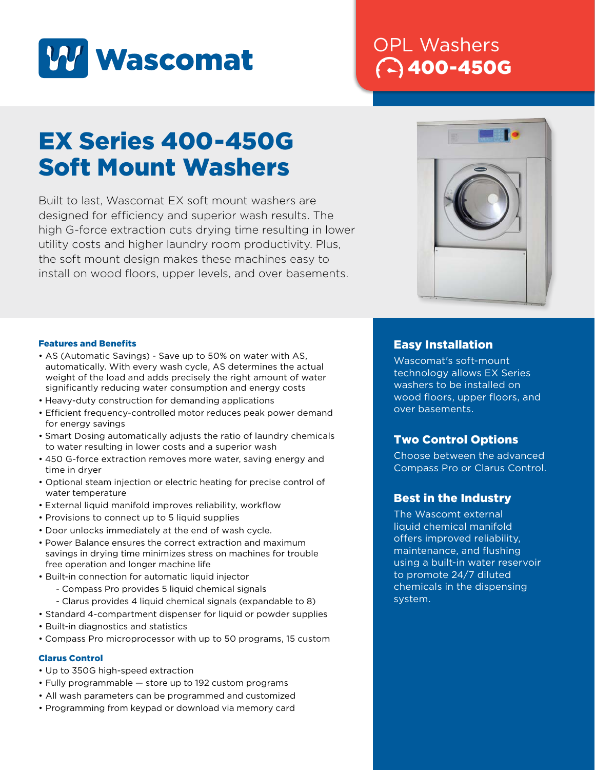

## OPL Washers 400-450G

# EX Series 400-450G Soft Mount Washers

Built to last, Wascomat EX soft mount washers are designed for efficiency and superior wash results. The high G-force extraction cuts drying time resulting in lower utility costs and higher laundry room productivity. Plus, the soft mount design makes these machines easy to install on wood floors, upper levels, and over basements.



#### Features and Benefits

- AS (Automatic Savings) Save up to 50% on water with AS, automatically. With every wash cycle, AS determines the actual weight of the load and adds precisely the right amount of water significantly reducing water consumption and energy costs
- Heavy-duty construction for demanding applications
- Efficient frequency-controlled motor reduces peak power demand for energy savings
- Smart Dosing automatically adjusts the ratio of laundry chemicals to water resulting in lower costs and a superior wash
- 450 G-force extraction removes more water, saving energy and time in dryer
- Optional steam injection or electric heating for precise control of water temperature
- External liquid manifold improves reliability, workflow
- Provisions to connect up to 5 liquid supplies
- Door unlocks immediately at the end of wash cycle.
- Power Balance ensures the correct extraction and maximum savings in drying time minimizes stress on machines for trouble free operation and longer machine life
- Built-in connection for automatic liquid injector
	- Compass Pro provides 5 liquid chemical signals
	- Clarus provides 4 liquid chemical signals (expandable to 8)
- Standard 4-compartment dispenser for liquid or powder supplies
- Built-in diagnostics and statistics
- Compass Pro microprocessor with up to 50 programs, 15 custom

#### Clarus Control

- Up to 350G high-speed extraction
- Fully programmable store up to 192 custom programs
- All wash parameters can be programmed and customized
- Programming from keypad or download via memory card

#### Easy Installation

Wascomat's soft-mount technology allows EX Series washers to be installed on wood floors, upper floors, and over basements.

#### Two Control Options

Choose between the advanced Compass Pro or Clarus Control.

#### Best in the Industry

The Wascomt external liquid chemical manifold offers improved reliability, maintenance, and flushing using a built-in water reservoir to promote 24/7 diluted chemicals in the dispensing system.